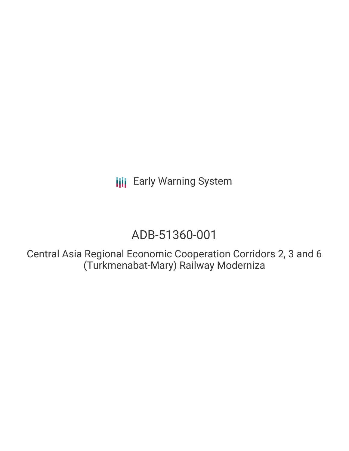**III** Early Warning System

# ADB-51360-001

Central Asia Regional Economic Cooperation Corridors 2, 3 and 6 (Turkmenabat-Mary) Railway Moderniza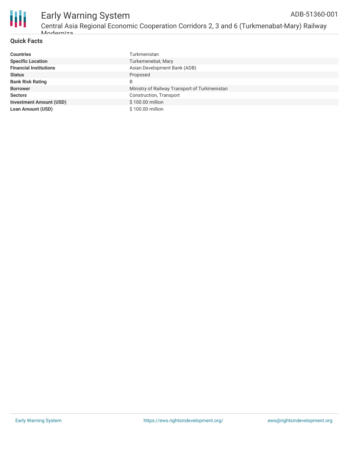

#### Early Warning System Central Asia Regional Economic Cooperation Corridors 2, 3 and 6 (Turkmenabat-Mary) Railway Moderniza ADB-51360-001

#### **Quick Facts**

| <b>Countries</b>               | Turkmenistan                                  |
|--------------------------------|-----------------------------------------------|
| <b>Specific Location</b>       | Turkemenebat, Mary                            |
| <b>Financial Institutions</b>  | Asian Development Bank (ADB)                  |
| <b>Status</b>                  | Proposed                                      |
| <b>Bank Risk Rating</b>        | B                                             |
| <b>Borrower</b>                | Ministry of Railway Transport of Turkmenistan |
| <b>Sectors</b>                 | Construction, Transport                       |
| <b>Investment Amount (USD)</b> | \$100.00 million                              |
| <b>Loan Amount (USD)</b>       | \$100.00 million                              |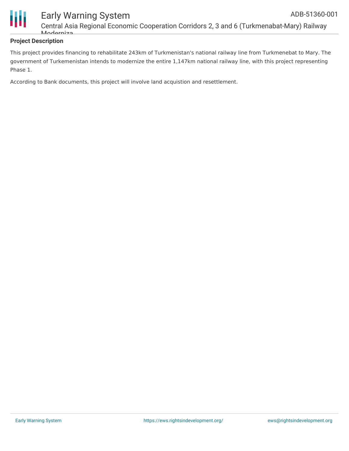

### **Project Description**

This project provides financing to rehabilitate 243km of Turkmenistan's national railway line from Turkmenebat to Mary. The government of Turkemenistan intends to modernize the entire 1,147km national railway line, with this project representing Phase 1.

According to Bank documents, this project will involve land acquistion and resettlement.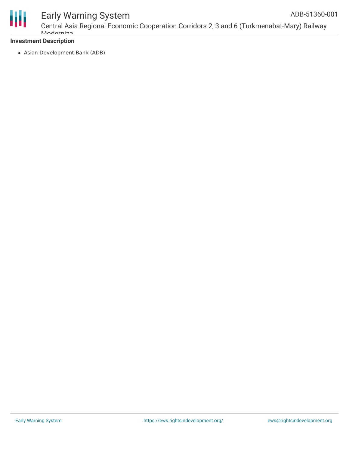

## Early Warning System

### **Investment Description**

Asian Development Bank (ADB)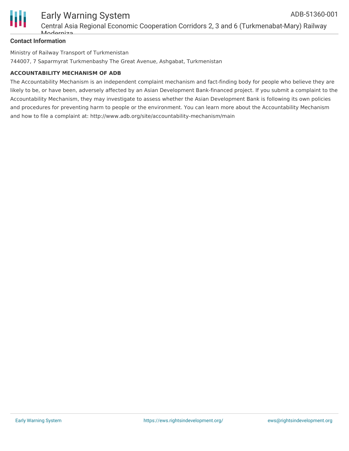

#### **Contact Information**

Ministry of Railway Transport of Turkmenistan 744007, 7 Saparmyrat Turkmenbashy The Great Avenue, Ashgabat, Turkmenistan

#### **ACCOUNTABILITY MECHANISM OF ADB**

The Accountability Mechanism is an independent complaint mechanism and fact-finding body for people who believe they are likely to be, or have been, adversely affected by an Asian Development Bank-financed project. If you submit a complaint to the Accountability Mechanism, they may investigate to assess whether the Asian Development Bank is following its own policies and procedures for preventing harm to people or the environment. You can learn more about the Accountability Mechanism and how to file a complaint at: http://www.adb.org/site/accountability-mechanism/main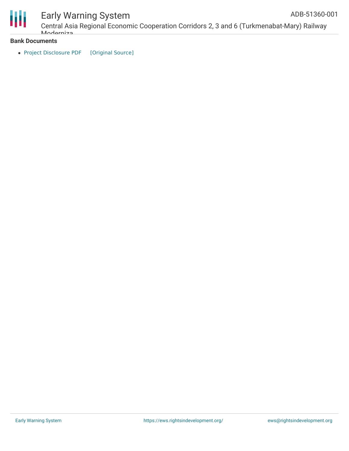

## Early Warning System

Central Asia Regional Economic Cooperation Corridors 2, 3 and 6 (Turkmenabat-Mary) Railway Moderniza ADB-51360-001

#### **Bank Documents**

• Project [Disclosure](https://ewsdata.rightsindevelopment.org/files/documents/01/ADB-51360-001.pdf) PDF [\[Original](https://www.adb.org/printpdf/projects/51360-001/main) Source]